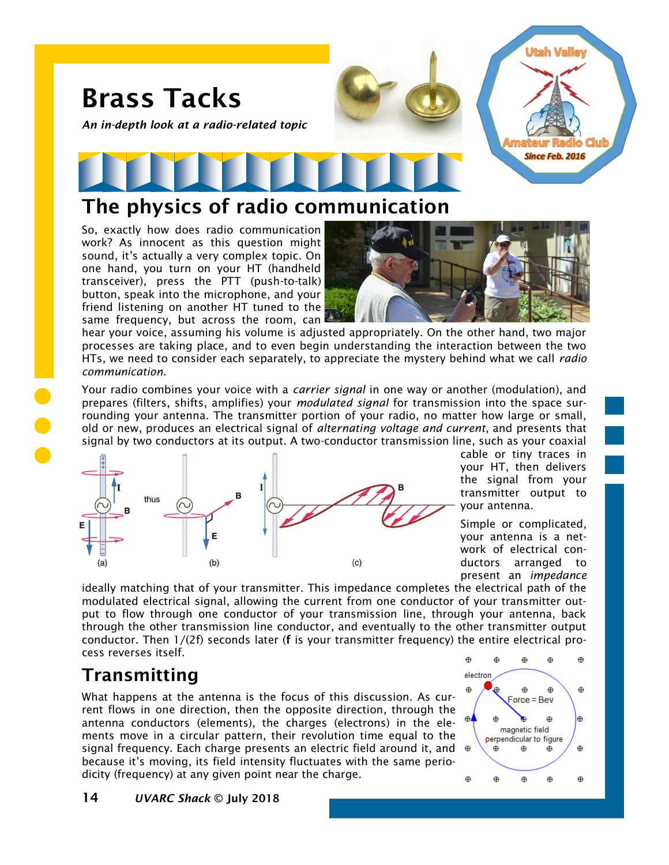# Brass Tacks

*An in-depth look at a radio-related topic*



# The physics of radio communication

So, exactly how does radio communication work? As innocent as this question might sound, it's actually a very complex topic. On one hand, you turn on your HT (handheld transceiver), press the PTT (push-to-talk) button, speak into the microphone, and your friend listening on another HT tuned to the same frequency, but across the room, can



hear your voice, assuming his volume is adjusted appropriately. On the other hand, two major processes are taking place, and to even begin understanding the interaction between the two HTs, we need to consider each separately, to appreciate the mystery behind what we call *radio communication*.

Your radio combines your voice with a *carrier signal* in one way or another (modulation), and prepares (filters, shifts, amplifies) your *modulated signal* for transmission into the space surrounding your antenna. The transmitter portion of your radio, no matter how large or small, old or new, produces an electrical signal of *alternating voltage and current*, and presents that signal by two conductors at its output. A two-conductor transmission line, such as your coaxial



cable or tiny traces in your HT, then delivers the signal from your transmitter output to your antenna.

Simple or complicated, your antenna is a network of electrical conductors arranged to present an *impedance*

ideally matching that of your transmitter. This impedance completes the electrical path of the modulated electrical signal, allowing the current from one conductor of your transmitter output to flow through one conductor of your transmission line, through your antenna, back through the other transmission line conductor, and eventually to the other transmitter output conductor. Then 1/(2f) seconds later (f is your transmitter frequency) the entire electrical process reverses itself.

## Transmitting

What happens at the antenna is the focus of this discussion. As current flows in one direction, then the opposite direction, through the antenna conductors (elements), the charges (electrons) in the elements move in a circular pattern, their revolution time equal to the signal frequency. Each charge presents an electric field around it, and  $\oplus$ because it's moving, its field intensity fluctuates with the same periodicity (frequency) at any given point near the charge.